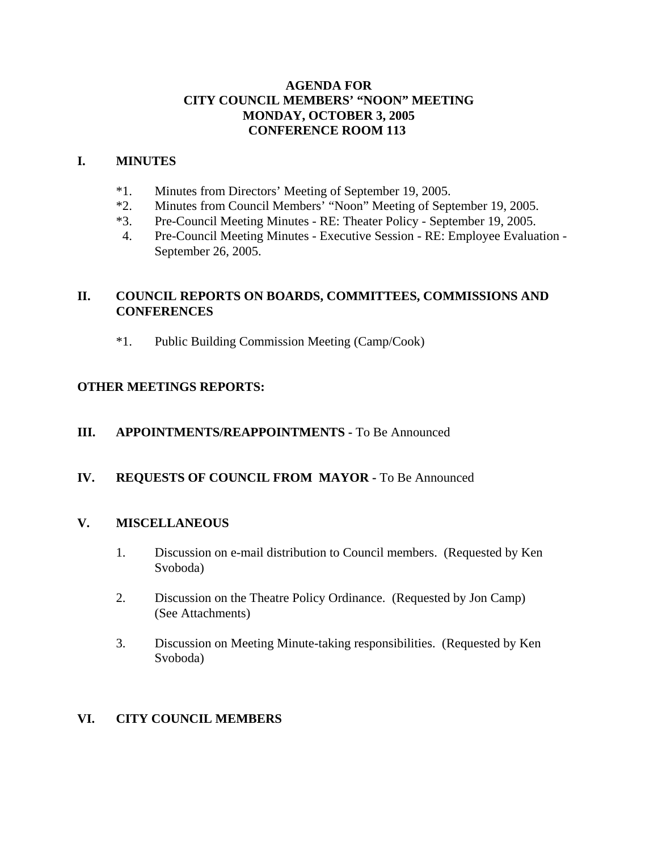### **AGENDA FOR CITY COUNCIL MEMBERS' "NOON" MEETING MONDAY, OCTOBER 3, 2005 CONFERENCE ROOM 113**

#### **I. MINUTES**

- \*1. Minutes from Directors' Meeting of September 19, 2005.
- \*2. Minutes from Council Members' "Noon" Meeting of September 19, 2005.
- \*3. Pre-Council Meeting Minutes RE: Theater Policy September 19, 2005.
- 4. Pre-Council Meeting Minutes Executive Session RE: Employee Evaluation September 26, 2005.

# **II. COUNCIL REPORTS ON BOARDS, COMMITTEES, COMMISSIONS AND CONFERENCES**

\*1. Public Building Commission Meeting (Camp/Cook)

## **OTHER MEETINGS REPORTS:**

### **III.** APPOINTMENTS/REAPPOINTMENTS - To Be Announced

### **IV. REQUESTS OF COUNCIL FROM MAYOR -** To Be Announced

### **V. MISCELLANEOUS**

- 1. Discussion on e-mail distribution to Council members. (Requested by Ken Svoboda)
- 2. Discussion on the Theatre Policy Ordinance. (Requested by Jon Camp) (See Attachments)
- 3. Discussion on Meeting Minute-taking responsibilities. (Requested by Ken Svoboda)

### **VI. CITY COUNCIL MEMBERS**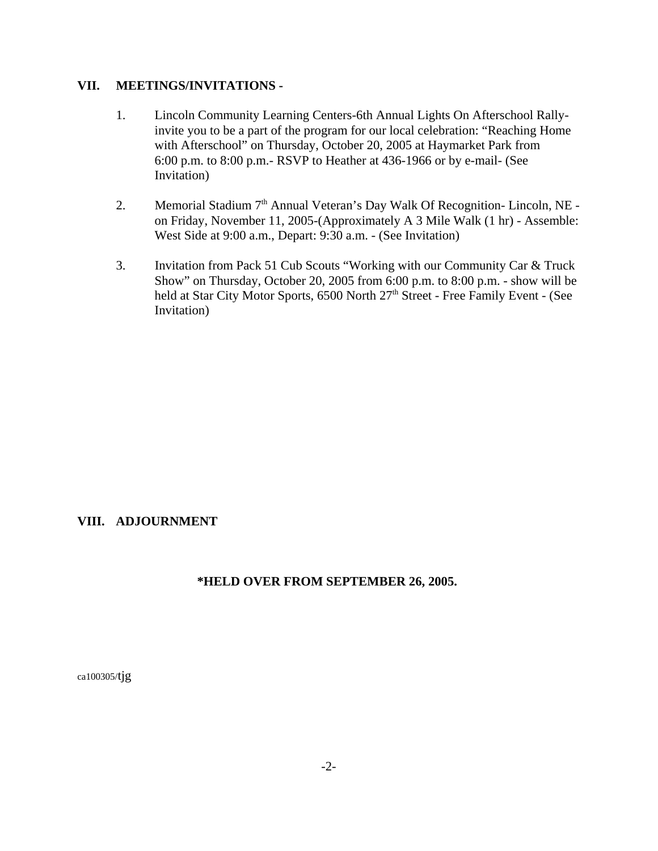#### **VII. MEETINGS/INVITATIONS -**

- 1. Lincoln Community Learning Centers-6th Annual Lights On Afterschool Rallyinvite you to be a part of the program for our local celebration: "Reaching Home with Afterschool" on Thursday, October 20, 2005 at Haymarket Park from 6:00 p.m. to 8:00 p.m.- RSVP to Heather at 436-1966 or by e-mail- (See Invitation)
- 2. Memorial Stadium 7<sup>th</sup> Annual Veteran's Day Walk Of Recognition- Lincoln, NE on Friday, November 11, 2005-(Approximately A 3 Mile Walk (1 hr) - Assemble: West Side at 9:00 a.m., Depart: 9:30 a.m. - (See Invitation)
- 3. Invitation from Pack 51 Cub Scouts "Working with our Community Car & Truck Show" on Thursday, October 20, 2005 from 6:00 p.m. to 8:00 p.m. - show will be held at Star City Motor Sports, 6500 North 27<sup>th</sup> Street - Free Family Event - (See Invitation)

### **VIII. ADJOURNMENT**

### **\*HELD OVER FROM SEPTEMBER 26, 2005.**

ca100305/tjg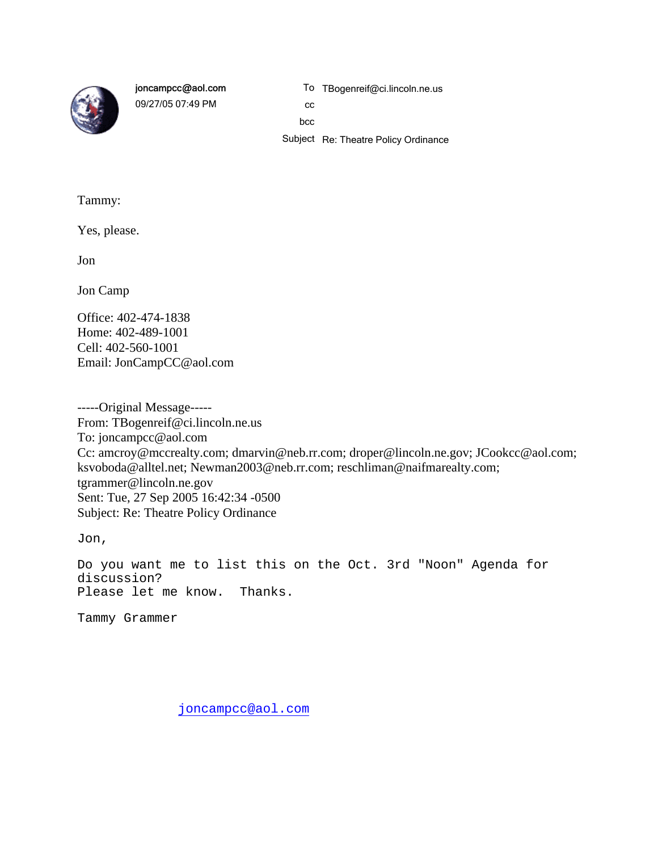

joncampcc@aol.com

09/27/05 07:49 PM

To TBogenreif@ci.lincoln.ne.us

cc bcc

Subject Re: Theatre Policy Ordinance

Tammy:

Yes, please.

Jon

Jon Camp

Office: 402-474-1838 Home: 402-489-1001 Cell: 402-560-1001 Email: JonCampCC@aol.com

-----Original Message----- From: TBogenreif@ci.lincoln.ne.us To: joncampcc@aol.com Cc: amcroy@mccrealty.com; dmarvin@neb.rr.com; droper@lincoln.ne.gov; JCookcc@aol.com; ksvoboda@alltel.net; Newman2003@neb.rr.com; reschliman@naifmarealty.com; tgrammer@lincoln.ne.gov Sent: Tue, 27 Sep 2005 16:42:34 -0500 Subject: Re: Theatre Policy Ordinance

Jon,

Do you want me to list this on the Oct. 3rd "Noon" Agenda for discussion? Please let me know. Thanks.

Tammy Grammer

joncampcc@aol.com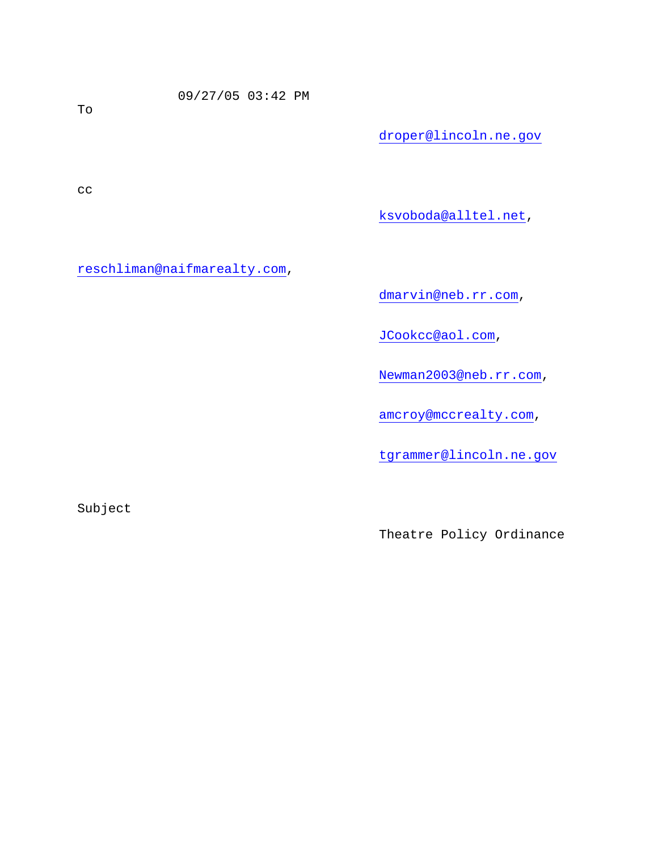09/27/05 03:42 PM

droper@lincoln.ne.gov

cc

ksvoboda@alltel.net,

reschliman@naifmarealty.com,

dmarvin@neb.rr.com,

JCookcc@aol.com,

Newman2003@neb.rr.com,

amcroy@mccrealty.com,

tgrammer@lincoln.ne.gov

Subject

Theatre Policy Ordinance

To